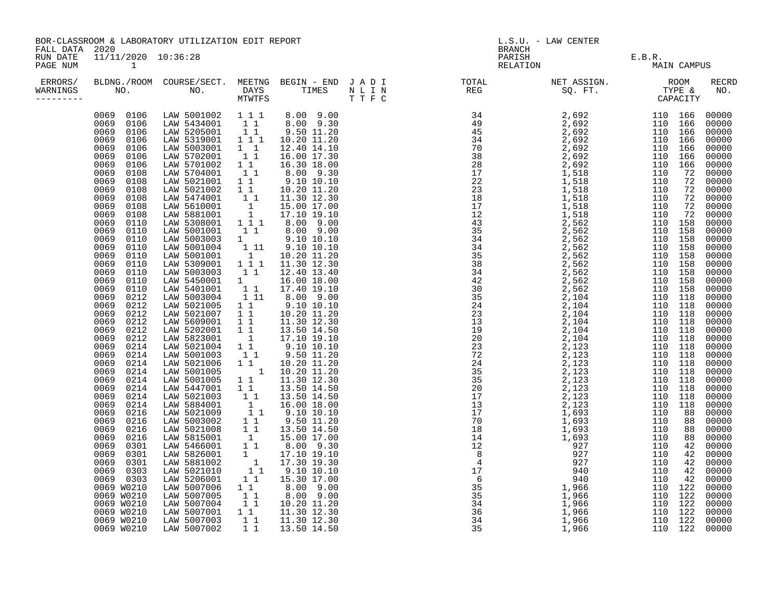| BOR-CLASSROOM & LABORATORY UTILIZATION EDIT REPORT |                |                     |  |  | L.S.U. - LAW CENTER |  |  |                                                |                                                                                                                                                                                                                   |
|----------------------------------------------------|----------------|---------------------|--|--|---------------------|--|--|------------------------------------------------|-------------------------------------------------------------------------------------------------------------------------------------------------------------------------------------------------------------------|
|                                                    |                |                     |  |  | MAIN CAMPUS         |  |  |                                                |                                                                                                                                                                                                                   |
|                                                    |                |                     |  |  |                     |  |  |                                                | RECRD<br>NO.                                                                                                                                                                                                      |
|                                                    |                |                     |  |  |                     |  |  |                                                |                                                                                                                                                                                                                   |
|                                                    |                |                     |  |  |                     |  |  |                                                |                                                                                                                                                                                                                   |
|                                                    | FALL DATA 2020 | 11/11/2020 10:36:28 |  |  |                     |  |  | E.B.R.<br>PARISH PARISH E.B.R.<br>RELATION MAI | ERRORS/ BLDNG./ROOM COURSE/SECT. MEETNG BEGIN – END JADI (TOTAL (NET ASSIGN. ) ROOM (ROOM )<br>WARNINGS NO. NO. DAYS TIMES NLIN (REG ) SQ.FT. TYPE & MTWIFS (THE SQ.FT. ) (THE SQ.PT. ) (REG ) (REG ) (REG ) (REG |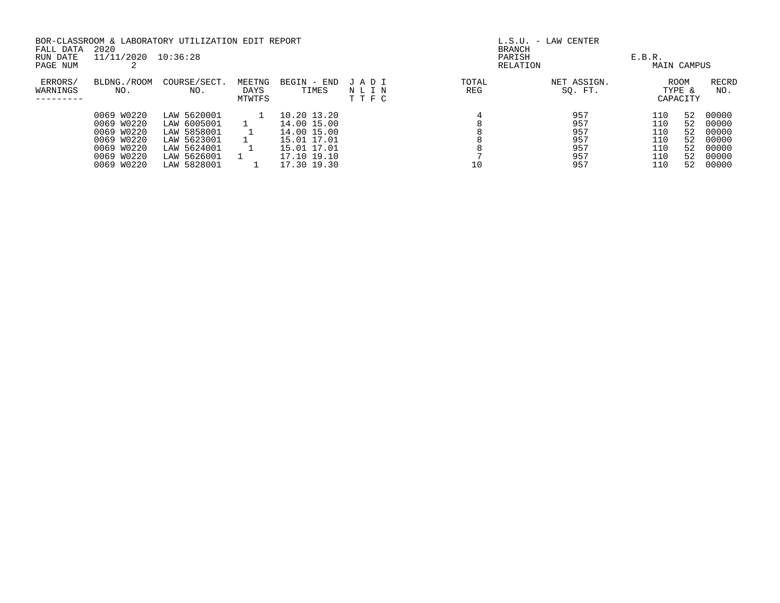|                     |                    | BOR-CLASSROOM & LABORATORY UTILIZATION EDIT REPORT |                          |                      |                      | $L.S.U. - LAW CENTER$ |                        |        |                                   |                     |
|---------------------|--------------------|----------------------------------------------------|--------------------------|----------------------|----------------------|-----------------------|------------------------|--------|-----------------------------------|---------------------|
| FALL DATA           | 2020               |                                                    |                          |                      |                      | <b>BRANCH</b>         |                        |        |                                   |                     |
| RUN DATE            | 11/11/2020         | 10:36:28                                           |                          |                      |                      | PARISH                |                        | E.B.R. |                                   |                     |
| PAGE NUM            |                    |                                                    |                          |                      |                      |                       | RELATION               |        | MAIN CAMPUS                       |                     |
| ERRORS/<br>WARNINGS | BLDNG./ROOM<br>NO. | COURSE/SECT.<br>NO.                                | MEETNG<br>DAYS<br>MTWTFS | BEGIN - END<br>TIMES | JADI<br>NLIN<br>TTFC | TOTAL<br>REG          | NET ASSIGN.<br>SQ. FT. |        | <b>ROOM</b><br>TYPE &<br>CAPACITY | <b>RECRD</b><br>NO. |
|                     | 0069 W0220         | LAW 5620001                                        |                          | 10.20 13.20          |                      |                       | 957                    | 110    | 52                                | 00000               |
|                     | W0220<br>0069      | LAW 6005001                                        |                          | 14.00 15.00          |                      |                       | 957                    | 110    | 52                                | 00000               |
|                     | 0069 W0220         | LAW 5858001                                        |                          | 14.00 15.00          |                      |                       | 957                    | 110    | 52                                | 00000               |
|                     | W0220<br>0069      | LAW 5623001                                        |                          | 15.01 17.01          |                      |                       | 957                    | 110    | 52                                | 00000               |
|                     | 0069 W0220         | LAW 5624001                                        |                          | 15.01 17.01          |                      |                       | 957                    | 110    | 52                                | 00000               |
|                     | 0069 W0220         | LAW 5626001                                        |                          | 17.10 19.10          |                      |                       | 957                    | 110    | 52                                | 00000               |
|                     | 0069 W0220         | LAW 5828001                                        |                          | 17.30 19.30          |                      | 10                    | 957                    | 110    | 52                                | 00000               |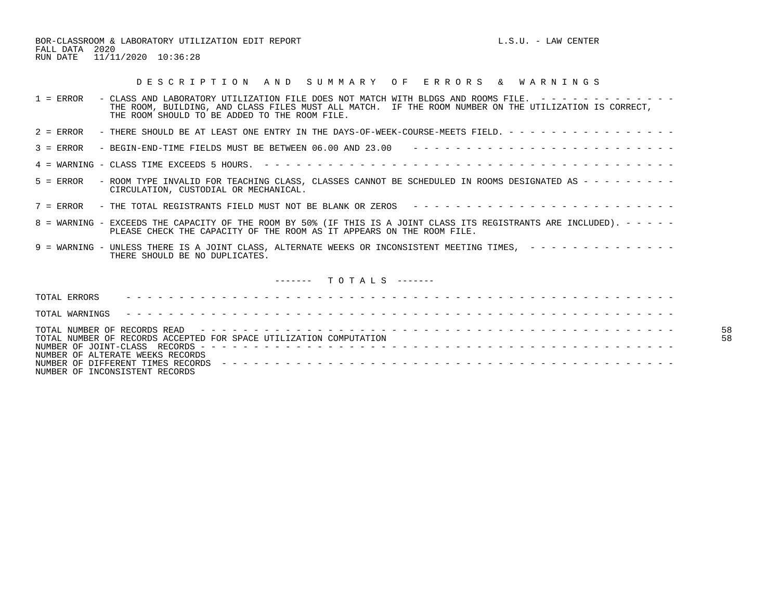BOR-CLASSROOM & LABORATORY UTILIZATION EDIT REPORT **Example 2008** L.S.U. - LAW CENTER FALL DATA 2020 RUN DATE 11/11/2020 10:36:28

## D E S C R I P T I O N A N D S U M M A R Y O F E R R O R S & W A R N I N G S

| $1 =$ ERROR<br>- CLASS AND LABORATORY UTILIZATION FILE DOES NOT MATCH WITH BLDGS AND ROOMS FILE. $-$ - - - - - - - - - - - -<br>THE ROOM, BUILDING, AND CLASS FILES MUST ALL MATCH. IF THE ROOM NUMBER ON THE UTILIZATION IS CORRECT,<br>THE ROOM SHOULD TO BE ADDED TO THE ROOM FILE. |
|----------------------------------------------------------------------------------------------------------------------------------------------------------------------------------------------------------------------------------------------------------------------------------------|
| - THERE SHOULD BE AT LEAST ONE ENTRY IN THE DAYS-OF-WEEK-COURSE-MEETS FIELD. - - - - - - - - - - - - - - - -<br>$2 = ERROR$                                                                                                                                                            |
| $3 = ERROR$                                                                                                                                                                                                                                                                            |
|                                                                                                                                                                                                                                                                                        |
| - ROOM TYPE INVALID FOR TEACHING CLASS, CLASSES CANNOT BE SCHEDULED IN ROOMS DESIGNATED AS - - - - - - - - -<br>$5 =$ ERROR<br>CIRCULATION, CUSTODIAL OR MECHANICAL.                                                                                                                   |
| 7 = ERROR - THE TOTAL REGISTRANTS FIELD MUST NOT BE BLANK OR ZEROS --------------------------                                                                                                                                                                                          |
| 8 = WARNING - EXCEEDS THE CAPACITY OF THE ROOM BY 50% (IF THIS IS A JOINT CLASS ITS REGISTRANTS ARE INCLUDED). - - - - -<br>PLEASE CHECK THE CAPACITY OF THE ROOM AS IT APPEARS ON THE ROOM FILE.                                                                                      |
| 9 = WARNING - UNLESS THERE IS A JOINT CLASS, ALTERNATE WEEKS OR INCONSISTENT MEETING TIMES, --------------<br>THERE SHOULD BE NO DUPLICATES.                                                                                                                                           |
| $------$ TOTALS $---$                                                                                                                                                                                                                                                                  |
| TOTAL ERRORS                                                                                                                                                                                                                                                                           |
| TOTAL WARNINGS                                                                                                                                                                                                                                                                         |
| 58<br>58<br>TOTAL NUMBER OF RECORDS ACCEPTED FOR SPACE UTILIZATION COMPUTATION<br>NUMBER OF ALTERATE WEEKS RECORDS<br>NUMBER OF INCONSISTENT RECORDS                                                                                                                                   |